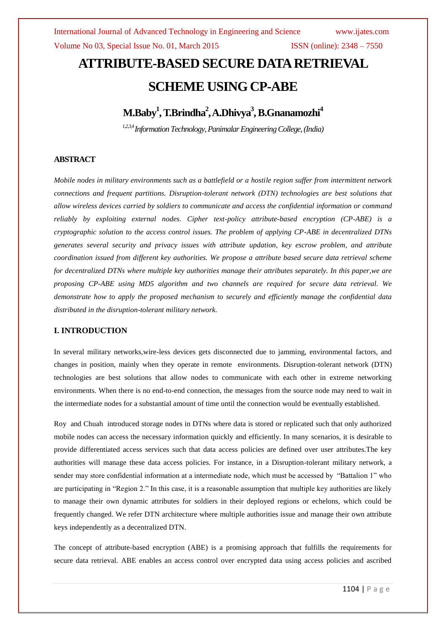# **ATTRIBUTE-BASED SECURE DATA RETRIEVAL SCHEME USING CP-ABE**

**M.Baby<sup>1</sup> , T.Brindha<sup>2</sup> ,A.Dhivya<sup>3</sup> ,B.Gnanamozhi<sup>4</sup>**

*1,2,3,4Information Technology,Panimalar Engineering College,(India)*

### **ABSTRACT**

*Mobile nodes in military environments such as a battlefield or a hostile region suffer from intermittent network connections and frequent partitions. Disruption-tolerant network (DTN) technologies are best solutions that allow wireless devices carried by soldiers to communicate and access the confidential information or command reliably by exploiting external nodes. Cipher text-policy attribute-based encryption (CP-ABE) is a cryptographic solution to the access control issues. The problem of applying CP-ABE in decentralized DTNs generates several security and privacy issues with attribute updation, key escrow problem, and attribute coordination issued from different key authorities. We propose a attribute based secure data retrieval scheme for decentralized DTNs where multiple key authorities manage their attributes separately. In this paper,we are proposing CP-ABE using MD5 algorithm and two channels are required for secure data retrieval. We demonstrate how to apply the proposed mechanism to securely and efficiently manage the confidential data distributed in the disruption-tolerant military network.*

#### **I. INTRODUCTION**

In several military networks,wire-less devices gets disconnected due to jamming, environmental factors, and changes in position, mainly when they operate in remote environments. Disruption-tolerant network (DTN) technologies are best solutions that allow nodes to communicate with each other in extreme networking environments. When there is no end-to-end connection, the messages from the source node may need to wait in the intermediate nodes for a substantial amount of time until the connection would be eventually established.

Roy and Chuah introduced storage nodes in DTNs where data is stored or replicated such that only authorized mobile nodes can access the necessary information quickly and efficiently. In many scenarios, it is desirable to provide differentiated access services such that data access policies are defined over user attributes.The key authorities will manage these data access policies. For instance, in a Disruption-tolerant military network, a sender may store confidential information at a intermediate node, which must be accessed by "Battalion 1" who are participating in "Region 2." In this case, it is a reasonable assumption that multiple key authorities are likely to manage their own dynamic attributes for soldiers in their deployed regions or echelons, which could be frequently changed. We refer DTN architecture where multiple authorities issue and manage their own attribute keys independently as a decentralized DTN.

The concept of attribute-based encryption (ABE) is a promising approach that fulfills the requirements for secure data retrieval. ABE enables an access control over encrypted data using access policies and ascribed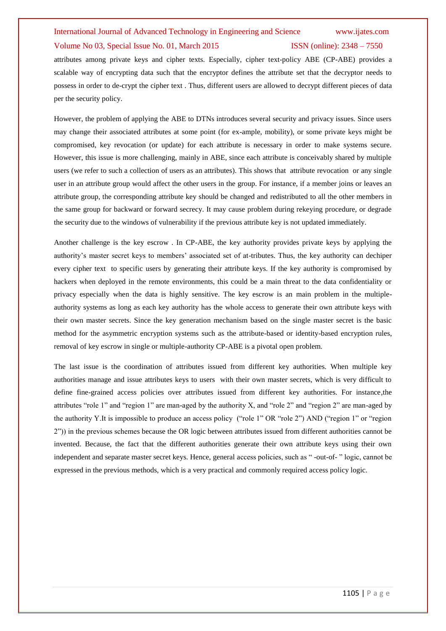## International Journal of Advanced Technology in Engineering and Science www.ijates.com Volume No 03, Special Issue No. 01, March 2015 ISSN (online): 2348 – 7550

attributes among private keys and cipher texts. Especially, cipher text-policy ABE (CP-ABE) provides a scalable way of encrypting data such that the encryptor defines the attribute set that the decryptor needs to possess in order to de-crypt the cipher text . Thus, different users are allowed to decrypt different pieces of data per the security policy.

However, the problem of applying the ABE to DTNs introduces several security and privacy issues. Since users may change their associated attributes at some point (for ex-ample, mobility), or some private keys might be compromised, key revocation (or update) for each attribute is necessary in order to make systems secure. However, this issue is more challenging, mainly in ABE, since each attribute is conceivably shared by multiple users (we refer to such a collection of users as an attributes). This shows that attribute revocation or any single user in an attribute group would affect the other users in the group. For instance, if a member joins or leaves an attribute group, the corresponding attribute key should be changed and redistributed to all the other members in the same group for backward or forward secrecy. It may cause problem during rekeying procedure, or degrade the security due to the windows of vulnerability if the previous attribute key is not updated immediately.

Another challenge is the key escrow . In CP-ABE, the key authority provides private keys by applying the authority's master secret keys to members' associated set of at-tributes. Thus, the key authority can dechiper every cipher text to specific users by generating their attribute keys. If the key authority is compromised by hackers when deployed in the remote environments, this could be a main threat to the data confidentiality or privacy especially when the data is highly sensitive. The key escrow is an main problem in the multipleauthority systems as long as each key authority has the whole access to generate their own attribute keys with their own master secrets. Since the key generation mechanism based on the single master secret is the basic method for the asymmetric encryption systems such as the attribute-based or identity-based encryption rules, removal of key escrow in single or multiple-authority CP-ABE is a pivotal open problem.

The last issue is the coordination of attributes issued from different key authorities. When multiple key authorities manage and issue attributes keys to users with their own master secrets, which is very difficult to define fine-grained access policies over attributes issued from different key authorities. For instance,the attributes "role 1" and "region 1" are man-aged by the authority X, and "role 2" and "region 2" are man-aged by the authority Y.It is impossible to produce an access policy ("role 1" OR "role 2") AND ("region 1" or "region 2")) in the previous schemes because the OR logic between attributes issued from different authorities cannot be invented. Because, the fact that the different authorities generate their own attribute keys using their own independent and separate master secret keys. Hence, general access policies, such as " -out-of- " logic, cannot be expressed in the previous methods, which is a very practical and commonly required access policy logic.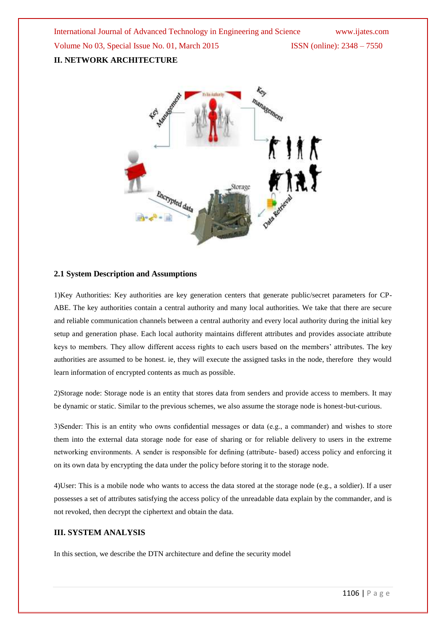International Journal of Advanced Technology in Engineering and Science www.ijates.com Volume No 03, Special Issue No. 01, March 2015 ISSN (online): 2348 - 7550 **II. NETWORK ARCHITECTURE**



#### **2.1 System Description and Assumptions**

1)Key Authorities: Key authorities are key generation centers that generate public/secret parameters for CP-ABE. The key authorities contain a central authority and many local authorities. We take that there are secure and reliable communication channels between a central authority and every local authority during the initial key setup and generation phase. Each local authority maintains different attributes and provides associate attribute keys to members. They allow different access rights to each users based on the members' attributes. The key authorities are assumed to be honest. ie, they will execute the assigned tasks in the node, therefore they would learn information of encrypted contents as much as possible.

2)Storage node: Storage node is an entity that stores data from senders and provide access to members. It may be dynamic or static. Similar to the previous schemes, we also assume the storage node is honest-but-curious.

3)Sender: This is an entity who owns confidential messages or data (e.g., a commander) and wishes to store them into the external data storage node for ease of sharing or for reliable delivery to users in the extreme networking environments. A sender is responsible for defining (attribute- based) access policy and enforcing it on its own data by encrypting the data under the policy before storing it to the storage node.

4)User: This is a mobile node who wants to access the data stored at the storage node (e.g., a soldier). If a user possesses a set of attributes satisfying the access policy of the unreadable data explain by the commander, and is not revoked, then decrypt the ciphertext and obtain the data.

#### **III. SYSTEM ANALYSIS**

In this section, we describe the DTN architecture and define the security model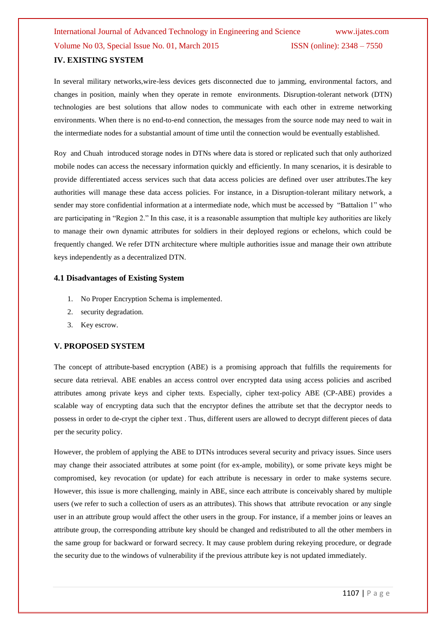## International Journal of Advanced Technology in Engineering and Science www.ijates.com Volume No 03, Special Issue No. 01, March 2015 **ISSN** (online):  $2348 - 7550$ **IV. EXISTING SYSTEM**

In several military networks,wire-less devices gets disconnected due to jamming, environmental factors, and changes in position, mainly when they operate in remote environments. Disruption-tolerant network (DTN) technologies are best solutions that allow nodes to communicate with each other in extreme networking environments. When there is no end-to-end connection, the messages from the source node may need to wait in the intermediate nodes for a substantial amount of time until the connection would be eventually established.

Roy and Chuah introduced storage nodes in DTNs where data is stored or replicated such that only authorized mobile nodes can access the necessary information quickly and efficiently. In many scenarios, it is desirable to provide differentiated access services such that data access policies are defined over user attributes.The key authorities will manage these data access policies. For instance, in a Disruption-tolerant military network, a sender may store confidential information at a intermediate node, which must be accessed by "Battalion 1" who are participating in "Region 2." In this case, it is a reasonable assumption that multiple key authorities are likely to manage their own dynamic attributes for soldiers in their deployed regions or echelons, which could be frequently changed. We refer DTN architecture where multiple authorities issue and manage their own attribute keys independently as a decentralized DTN.

#### **4.1 Disadvantages of Existing System**

- 1. No Proper Encryption Schema is implemented.
- 2. security degradation.
- 3. Key escrow.

#### **V. PROPOSED SYSTEM**

The concept of attribute-based encryption (ABE) is a promising approach that fulfills the requirements for secure data retrieval. ABE enables an access control over encrypted data using access policies and ascribed attributes among private keys and cipher texts. Especially, cipher text-policy ABE (CP-ABE) provides a scalable way of encrypting data such that the encryptor defines the attribute set that the decryptor needs to possess in order to de-crypt the cipher text . Thus, different users are allowed to decrypt different pieces of data per the security policy.

However, the problem of applying the ABE to DTNs introduces several security and privacy issues. Since users may change their associated attributes at some point (for ex-ample, mobility), or some private keys might be compromised, key revocation (or update) for each attribute is necessary in order to make systems secure. However, this issue is more challenging, mainly in ABE, since each attribute is conceivably shared by multiple users (we refer to such a collection of users as an attributes). This shows that attribute revocation or any single user in an attribute group would affect the other users in the group. For instance, if a member joins or leaves an attribute group, the corresponding attribute key should be changed and redistributed to all the other members in the same group for backward or forward secrecy. It may cause problem during rekeying procedure, or degrade the security due to the windows of vulnerability if the previous attribute key is not updated immediately.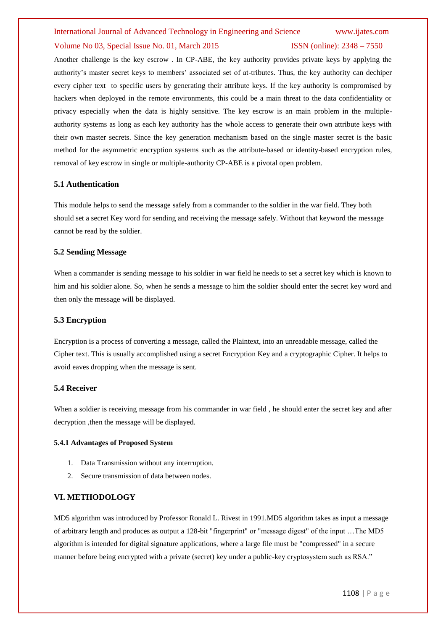#### International Journal of Advanced Technology in Engineering and Science www.ijates.com

#### Volume No 03, Special Issue No. 01, March 2015 **ISSN** (online): 2348 – 7550

Another challenge is the key escrow . In CP-ABE, the key authority provides private keys by applying the authority's master secret keys to members' associated set of at-tributes. Thus, the key authority can dechiper every cipher text to specific users by generating their attribute keys. If the key authority is compromised by hackers when deployed in the remote environments, this could be a main threat to the data confidentiality or privacy especially when the data is highly sensitive. The key escrow is an main problem in the multipleauthority systems as long as each key authority has the whole access to generate their own attribute keys with their own master secrets. Since the key generation mechanism based on the single master secret is the basic method for the asymmetric encryption systems such as the attribute-based or identity-based encryption rules, removal of key escrow in single or multiple-authority CP-ABE is a pivotal open problem.

#### **5.1 Authentication**

This module helps to send the message safely from a commander to the soldier in the war field. They both should set a secret Key word for sending and receiving the message safely. Without that keyword the message cannot be read by the soldier.

#### **5.2 Sending Message**

When a commander is sending message to his soldier in war field he needs to set a secret key which is known to him and his soldier alone. So, when he sends a message to him the soldier should enter the secret key word and then only the message will be displayed.

#### **5.3 Encryption**

Encryption is a process of converting a message, called the Plaintext, into an unreadable message, called the Cipher text. This is usually accomplished using a secret Encryption Key and a cryptographic Cipher. It helps to avoid eaves dropping when the message is sent.

#### **5.4 Receiver**

When a soldier is receiving message from his commander in war field, he should enter the secret key and after decryption ,then the message will be displayed.

#### **5.4.1 Advantages of Proposed System**

- 1. Data Transmission without any interruption.
- 2. Secure transmission of data between nodes.

#### **VI. METHODOLOGY**

MD5 algorithm was introduced by Professor Ronald L. Rivest in 1991.MD5 algorithm takes as input a message of arbitrary length and produces as output a 128-bit "fingerprint" or "message digest" of the input …The MD5 algorithm is intended for digital signature applications, where a large file must be "compressed" in a secure manner before being encrypted with a private (secret) key under a public-key cryptosystem such as RSA."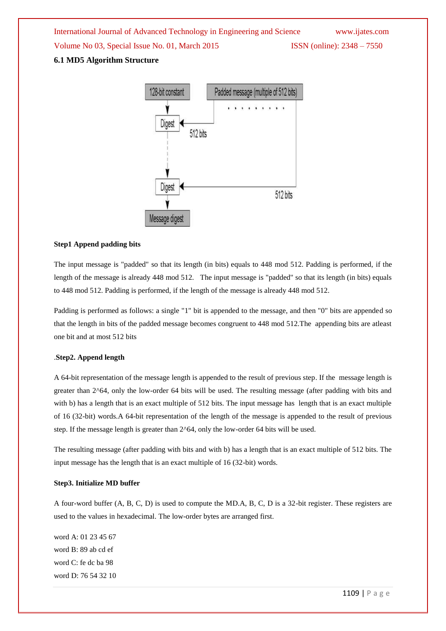International Journal of Advanced Technology in Engineering and Science www.ijates.com Volume No 03, Special Issue No. 01, March 2015 **ISSN** (online): 2348 – 7550

#### **6.1 MD5 Algorithm Structure**



#### **Step1 Append padding bits**

The input message is "padded" so that its length (in bits) equals to 448 mod 512. Padding is performed, if the length of the message is already 448 mod 512. The input message is "padded" so that its length (in bits) equals to 448 mod 512. Padding is performed, if the length of the message is already 448 mod 512.

Padding is performed as follows: a single "1" bit is appended to the message, and then "0" bits are appended so that the length in bits of the padded message becomes congruent to 448 mod 512.The appending bits are atleast one bit and at most 512 bits

#### .**Step2. Append length**

A 64-bit representation of the message length is appended to the result of previous step. If the message length is greater than 2^64, only the low-order 64 bits will be used. The resulting message (after padding with bits and with b) has a length that is an exact multiple of 512 bits. The input message has length that is an exact multiple of 16 (32-bit) words.A 64-bit representation of the length of the message is appended to the result of previous step. If the message length is greater than 2^64, only the low-order 64 bits will be used.

The resulting message (after padding with bits and with b) has a length that is an exact multiple of 512 bits. The input message has the length that is an exact multiple of 16 (32-bit) words.

#### **Step3. Initialize MD buffer**

A four-word buffer (A, B, C, D) is used to compute the MD.A, B, C, D is a 32-bit register. These registers are used to the values in hexadecimal. The low-order bytes are arranged first.

word A: 01 23 45 67 word B: 89 ab cd ef word C: fe dc ba 98 word D: 76 54 32 10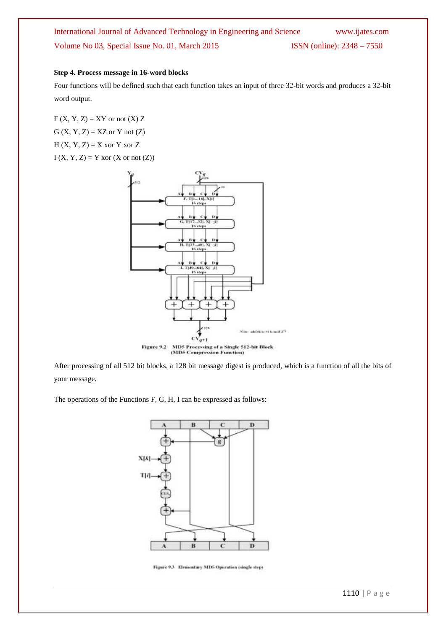## International Journal of Advanced Technology in Engineering and Science www.ijates.com Volume No 03, Special Issue No. 01, March 2015 ISSN (online): 2348 – 7550

#### **Step 4. Process message in 16-word blocks**

Four functions will be defined such that each function takes an input of three 32-bit words and produces a 32-bit word output.

 $F(X, Y, Z) = XY$  or not  $(X)Z$  $G(X, Y, Z) = XZ$  or Y not  $(Z)$  $H(X, Y, Z) = X$  xor Y xor Z  $I(X, Y, Z) = Y$  xor  $(X \text{ or not } (Z))$ 



After processing of all 512 bit blocks, a 128 bit message digest is produced, which is a function of all the bits of your message.

The operations of the Functions F, G, H, I can be expressed as follows:



Figure 9.3 Elementary MD5 Operation (single step)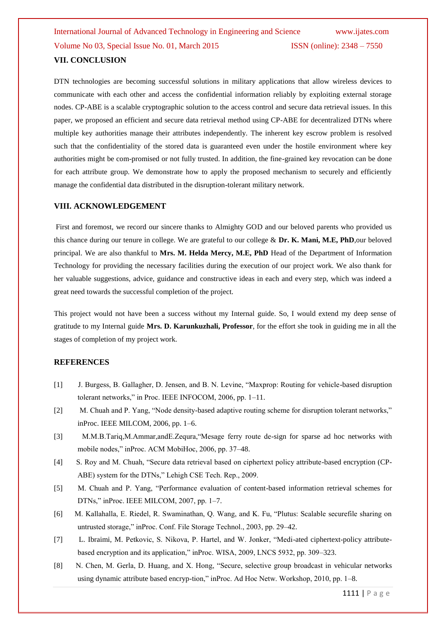## International Journal of Advanced Technology in Engineering and Science www.ijates.com Volume No 03, Special Issue No. 01, March 2015 **ISSN** (online):  $2348 - 7550$ **VII. CONCLUSION**

DTN technologies are becoming successful solutions in military applications that allow wireless devices to communicate with each other and access the confidential information reliably by exploiting external storage nodes. CP-ABE is a scalable cryptographic solution to the access control and secure data retrieval issues. In this paper, we proposed an efficient and secure data retrieval method using CP-ABE for decentralized DTNs where multiple key authorities manage their attributes independently. The inherent key escrow problem is resolved such that the confidentiality of the stored data is guaranteed even under the hostile environment where key authorities might be com-promised or not fully trusted. In addition, the fine-grained key revocation can be done for each attribute group. We demonstrate how to apply the proposed mechanism to securely and efficiently manage the confidential data distributed in the disruption-tolerant military network.

#### **VIII. ACKNOWLEDGEMENT**

First and foremost, we record our sincere thanks to Almighty GOD and our beloved parents who provided us this chance during our tenure in college. We are grateful to our college & **Dr. K. Mani, M.E, PhD**,our beloved principal. We are also thankful to **Mrs. M. Helda Mercy, M.E, PhD** Head of the Department of Information Technology for providing the necessary facilities during the execution of our project work. We also thank for her valuable suggestions, advice, guidance and constructive ideas in each and every step, which was indeed a great need towards the successful completion of the project.

This project would not have been a success without my Internal guide. So, I would extend my deep sense of gratitude to my Internal guide **Mrs. D. Karunkuzhali, Professor**, for the effort she took in guiding me in all the stages of completion of my project work.

#### **REFERENCES**

- [1] J. Burgess, B. Gallagher, D. Jensen, and B. N. Levine, "Maxprop: Routing for vehicle-based disruption tolerant networks," in Proc. IEEE INFOCOM, 2006, pp. 1–11.
- [2] M. Chuah and P. Yang, "Node density-based adaptive routing scheme for disruption tolerant networks," inProc. IEEE MILCOM, 2006, pp. 1–6.
- [3] M.M.B.Tariq,M.Ammar,andE.Zequra,"Mesage ferry route de-sign for sparse ad hoc networks with mobile nodes," inProc. ACM MobiHoc, 2006, pp. 37–48.
- [4] S. Roy and M. Chuah, "Secure data retrieval based on ciphertext policy attribute-based encryption (CP-ABE) system for the DTNs," Lehigh CSE Tech. Rep., 2009.
- [5] M. Chuah and P. Yang, "Performance evaluation of content-based information retrieval schemes for DTNs," inProc. IEEE MILCOM, 2007, pp. 1–7.
- [6] M. Kallahalla, E. Riedel, R. Swaminathan, Q. Wang, and K. Fu, "Plutus: Scalable securefile sharing on untrusted storage," inProc. Conf. File Storage Technol., 2003, pp. 29–42.
- [7] L. Ibraimi, M. Petkovic, S. Nikova, P. Hartel, and W. Jonker, "Medi-ated ciphertext-policy attributebased encryption and its application," inProc. WISA, 2009, LNCS 5932, pp. 309–323.
- [8] N. Chen, M. Gerla, D. Huang, and X. Hong, "Secure, selective group broadcast in vehicular networks using dynamic attribute based encryp-tion," inProc. Ad Hoc Netw. Workshop, 2010, pp. 1–8.